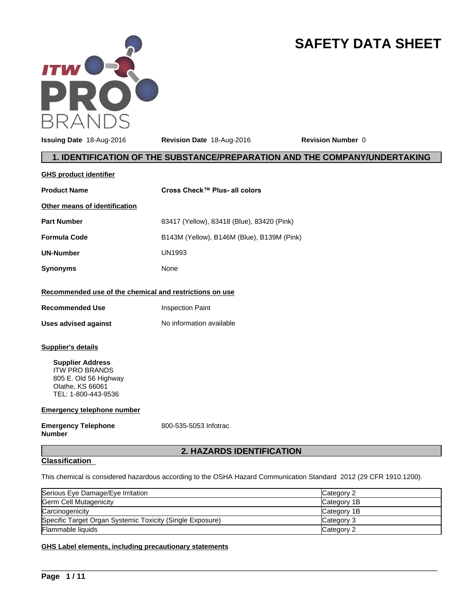

# **SAFETY DATA SHEET**

**Issuing Date** 18-Aug-2016 **Revision Date** 18-Aug-2016 **Revision Number** 0

# **1. IDENTIFICATION OF THE SUBSTANCE/PREPARATION AND THE COMPANY/UNDERTAKING**

| <b>GHS product identifier</b>                                                                                                                                                          |                                            |
|----------------------------------------------------------------------------------------------------------------------------------------------------------------------------------------|--------------------------------------------|
| <b>Product Name</b>                                                                                                                                                                    | Cross Check™ Plus- all colors              |
| Other means of identification                                                                                                                                                          |                                            |
| <b>Part Number</b>                                                                                                                                                                     | 83417 (Yellow), 83418 (Blue), 83420 (Pink) |
| <b>Formula Code</b>                                                                                                                                                                    | B143M (Yellow), B146M (Blue), B139M (Pink) |
| <b>UN-Number</b>                                                                                                                                                                       | <b>UN1993</b>                              |
| <b>Synonyms</b>                                                                                                                                                                        | None                                       |
| Recommended use of the chemical and restrictions on use                                                                                                                                |                                            |
| <b>Recommended Use</b>                                                                                                                                                                 | <b>Inspection Paint</b>                    |
| <b>Uses advised against</b>                                                                                                                                                            | No information available                   |
| <b>Supplier's details</b><br><b>Supplier Address</b><br><b>ITW PRO BRANDS</b><br>805 E. Old 56 Highway<br>Olathe, KS 66061<br>TEL: 1-800-443-9536<br><b>Emergency telephone number</b> |                                            |
| <b>Emergency Telephone</b><br><b>Number</b>                                                                                                                                            | 800-535-5053 Infotrac                      |

# **2. HAZARDS IDENTIFICATION**

# **Classification**

This chemical is considered hazardous according to the OSHA Hazard Communication Standard 2012 (29 CFR 1910.1200).

| Serious Eye Damage/Eye Irritation                         | Category 2  |
|-----------------------------------------------------------|-------------|
| Germ Cell Mutagenicity                                    | Category 1B |
| Carcinogenicity                                           | Category 1B |
| Specific Target Organ Systemic Toxicity (Single Exposure) | Category 3  |
| Flammable liquids                                         | Category 2  |

 $\overline{\phantom{a}}$  ,  $\overline{\phantom{a}}$  ,  $\overline{\phantom{a}}$  ,  $\overline{\phantom{a}}$  ,  $\overline{\phantom{a}}$  ,  $\overline{\phantom{a}}$  ,  $\overline{\phantom{a}}$  ,  $\overline{\phantom{a}}$  ,  $\overline{\phantom{a}}$  ,  $\overline{\phantom{a}}$  ,  $\overline{\phantom{a}}$  ,  $\overline{\phantom{a}}$  ,  $\overline{\phantom{a}}$  ,  $\overline{\phantom{a}}$  ,  $\overline{\phantom{a}}$  ,  $\overline{\phantom{a}}$ 

# **GHS Label elements, including precautionary statements**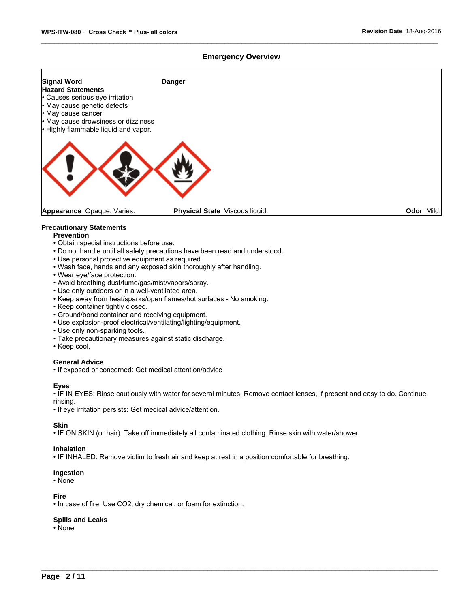# **Emergency Overview**



# **Precautionary Statements**

# **Prevention**

- Obtain special instructions before use.
- Do not handle until all safety precautions have been read and understood.
- Use personal protective equipment as required.
- Wash face, hands and any exposed skin thoroughly after handling.
- Wear eye/face protection.
- Avoid breathing dust/fume/gas/mist/vapors/spray.
- Use only outdoors or in a well-ventilated area.
- Keep away from heat/sparks/open flames/hot surfaces No smoking.
- Keep container tightly closed.
- Ground/bond container and receiving equipment.
- Use explosion-proof electrical/ventilating/lighting/equipment.
- Use only non-sparking tools.
- Take precautionary measures against static discharge.
- Keep cool.

# **General Advice**

• If exposed or concerned: Get medical attention/advice

### **Eyes**

• IF IN EYES: Rinse cautiously with water for several minutes. Remove contact lenses, if present and easy to do. Continue rinsing.

 $\overline{\phantom{a}}$  ,  $\overline{\phantom{a}}$  ,  $\overline{\phantom{a}}$  ,  $\overline{\phantom{a}}$  ,  $\overline{\phantom{a}}$  ,  $\overline{\phantom{a}}$  ,  $\overline{\phantom{a}}$  ,  $\overline{\phantom{a}}$  ,  $\overline{\phantom{a}}$  ,  $\overline{\phantom{a}}$  ,  $\overline{\phantom{a}}$  ,  $\overline{\phantom{a}}$  ,  $\overline{\phantom{a}}$  ,  $\overline{\phantom{a}}$  ,  $\overline{\phantom{a}}$  ,  $\overline{\phantom{a}}$ 

• If eye irritation persists: Get medical advice/attention.

# **Skin**

• IF ON SKIN (or hair): Take off immediately all contaminated clothing. Rinse skin with water/shower.

### **Inhalation**

• IF INHALED: Remove victim to fresh air and keep at rest in a position comfortable for breathing.

# **Ingestion**

• None

### **Fire**

• In case of fire: Use CO2, dry chemical, or foam for extinction.

### **Spills and Leaks**

•None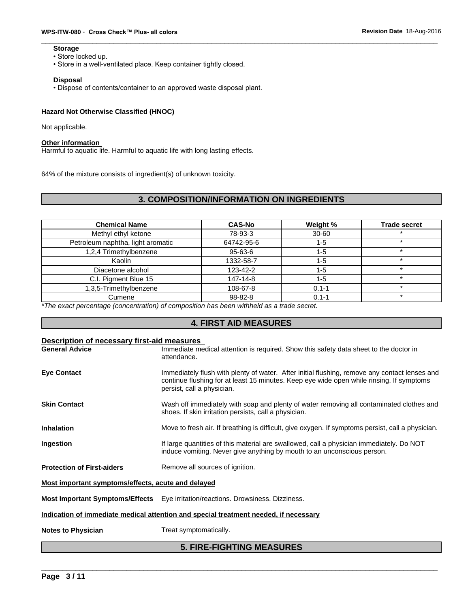# **Storage**

- Store locked up.
- Store in a well-ventilated place. Keep container tightly closed.

### **Disposal**

• Dispose of contents/container to an approved waste disposal plant.

# **Hazard Not Otherwise Classified (HNOC)**

Not applicable.

# **Other information**

Harmful to aquatic life. Harmful to aquatic life with long lasting effects.

64% of the mixture consists of ingredient(s) of unknown toxicity.

# **3. COMPOSITION/INFORMATION ON INGREDIENTS**

| <b>Chemical Name</b>              | <b>CAS-No</b> | Weight %  | <b>Trade secret</b> |
|-----------------------------------|---------------|-----------|---------------------|
| Methyl ethyl ketone               | 78-93-3       | $30 - 60$ |                     |
| Petroleum naphtha, light aromatic | 64742-95-6    | $1 - 5$   |                     |
| 1,2,4 Trimethylbenzene            | 95-63-6       | 1-5       | ÷                   |
| Kaolin                            | 1332-58-7     | $1 - 5$   |                     |
| Diacetone alcohol                 | 123-42-2      | $1 - 5$   |                     |
| C.I. Pigment Blue 15              | 147-14-8      | $1 - 5$   | $\star$             |
| 1,3,5-Trimethylbenzene            | 108-67-8      | $0.1 - 1$ |                     |
| Cumene                            | 98-82-8       | $0.1 - 1$ |                     |

*\*The exact percentage (concentration) of composition has been withheld as a trade secret.*

# **4. FIRST AID MEASURES**

| Description of necessary first-aid measures        |                                                                                                                                                                                                                         |
|----------------------------------------------------|-------------------------------------------------------------------------------------------------------------------------------------------------------------------------------------------------------------------------|
| <b>General Advice</b>                              | Immediate medical attention is required. Show this safety data sheet to the doctor in<br>attendance.                                                                                                                    |
| <b>Eve Contact</b>                                 | Immediately flush with plenty of water. After initial flushing, remove any contact lenses and<br>continue flushing for at least 15 minutes. Keep eye wide open while rinsing. If symptoms<br>persist, call a physician. |
| <b>Skin Contact</b>                                | Wash off immediately with soap and plenty of water removing all contaminated clothes and<br>shoes. If skin irritation persists, call a physician.                                                                       |
| <b>Inhalation</b>                                  | Move to fresh air. If breathing is difficult, give oxygen. If symptoms persist, call a physician.                                                                                                                       |
| Ingestion                                          | If large quantities of this material are swallowed, call a physician immediately. Do NOT<br>induce vomiting. Never give anything by mouth to an unconscious person.                                                     |
| <b>Protection of First-aiders</b>                  | Remove all sources of ignition.                                                                                                                                                                                         |
| Most important symptoms/effects, acute and delayed |                                                                                                                                                                                                                         |
|                                                    | Most Important Symptoms/Effects Eye irritation/reactions. Drowsiness. Dizziness.                                                                                                                                        |
|                                                    | Indication of immediate medical attention and special treatment needed, if necessary                                                                                                                                    |
| <b>Notes to Physician</b>                          | Treat symptomatically.                                                                                                                                                                                                  |
|                                                    |                                                                                                                                                                                                                         |

# \_\_\_\_\_\_\_\_\_\_\_\_\_\_\_\_\_\_\_\_\_\_\_\_\_\_\_\_\_\_\_\_\_\_\_\_\_\_\_\_\_\_\_\_\_\_\_\_\_\_\_\_\_\_\_\_\_\_\_\_\_\_\_\_\_\_\_\_\_\_\_\_\_\_\_\_\_\_\_\_\_\_\_\_\_\_\_\_\_\_\_\_\_ **5. FIRE-FIGHTING MEASURES**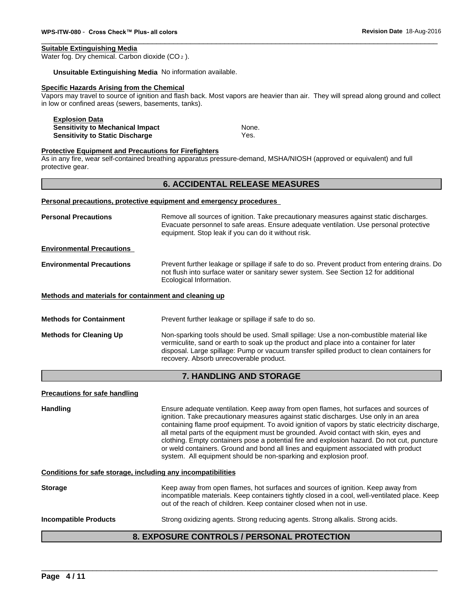# **Suitable Extinguishing Media**

Water fog. Dry chemical. Carbon dioxide (CO<sub>2</sub>).

**Unsuitable Extinguishing Media** No information available.

# **Specific Hazards Arising from the Chemical**

Vapors may travel to source of ignition and flash back. Most vapors are heavier than air. They will spread along ground and collect in low or confined areas (sewers, basements, tanks).

**Explosion Data Sensitivity to Mechanical Impact None.** None. **Sensitivity to Static Discharge** Wes.

### **Protective Equipment and Precautions for Firefighters**

As in any fire, wear self-contained breathing apparatus pressure-demand, MSHA/NIOSH (approved or equivalent) and full protective gear.

# **6. ACCIDENTAL RELEASE MEASURES**

### **Personal precautions, protective equipment and emergency procedures**

| <b>Personal Precautions</b>                           | Remove all sources of ignition. Take precautionary measures against static discharges.<br>Evacuate personnel to safe areas. Ensure adequate ventilation. Use personal protective<br>equipment. Stop leak if you can do it without risk.                                                                                  |
|-------------------------------------------------------|--------------------------------------------------------------------------------------------------------------------------------------------------------------------------------------------------------------------------------------------------------------------------------------------------------------------------|
| <b>Environmental Precautions</b>                      |                                                                                                                                                                                                                                                                                                                          |
| <b>Environmental Precautions</b>                      | Prevent further leakage or spillage if safe to do so. Prevent product from entering drains. Do<br>not flush into surface water or sanitary sewer system. See Section 12 for additional<br>Ecological Information.                                                                                                        |
| Methods and materials for containment and cleaning up |                                                                                                                                                                                                                                                                                                                          |
| <b>Methods for Containment</b>                        | Prevent further leakage or spillage if safe to do so.                                                                                                                                                                                                                                                                    |
| <b>Methods for Cleaning Up</b>                        | Non-sparking tools should be used. Small spillage: Use a non-combustible material like<br>vermiculite, sand or earth to soak up the product and place into a container for later<br>disposal. Large spillage: Pump or vacuum transfer spilled product to clean containers for<br>recovery. Absorb unrecoverable product. |

# **7. HANDLING AND STORAGE**

| Precautions for safe handling |                                                                                                                                                                                                                                                                                                                                                                                                                                                                                                                                                                                                                                   |
|-------------------------------|-----------------------------------------------------------------------------------------------------------------------------------------------------------------------------------------------------------------------------------------------------------------------------------------------------------------------------------------------------------------------------------------------------------------------------------------------------------------------------------------------------------------------------------------------------------------------------------------------------------------------------------|
| <b>Handling</b>               | Ensure adequate ventilation. Keep away from open flames, hot surfaces and sources of<br>ignition. Take precautionary measures against static discharges. Use only in an area<br>containing flame proof equipment. To avoid ignition of vapors by static electricity discharge,<br>all metal parts of the equipment must be grounded. Avoid contact with skin, eyes and<br>clothing. Empty containers pose a potential fire and explosion hazard. Do not cut, puncture<br>or weld containers. Ground and bond all lines and equipment associated with product<br>system. All equipment should be non-sparking and explosion proof. |
|                               | Conditions for safe storage, including any incompatibilities                                                                                                                                                                                                                                                                                                                                                                                                                                                                                                                                                                      |
| <b>Storage</b>                | Keep away from open flames, hot surfaces and sources of ignition. Keep away from<br>incompatible materials. Keep containers tightly closed in a cool, well-ventilated place. Keep<br>out of the reach of children. Keep container closed when not in use.                                                                                                                                                                                                                                                                                                                                                                         |
| <b>Incompatible Products</b>  | Strong oxidizing agents. Strong reducing agents. Strong alkalis. Strong acids.                                                                                                                                                                                                                                                                                                                                                                                                                                                                                                                                                    |

# \_\_\_\_\_\_\_\_\_\_\_\_\_\_\_\_\_\_\_\_\_\_\_\_\_\_\_\_\_\_\_\_\_\_\_\_\_\_\_\_\_\_\_\_\_\_\_\_\_\_\_\_\_\_\_\_\_\_\_\_\_\_\_\_\_\_\_\_\_\_\_\_\_\_\_\_\_\_\_\_\_\_\_\_\_\_\_\_\_\_\_\_\_ **8. EXPOSURE CONTROLS / PERSONAL PROTECTION**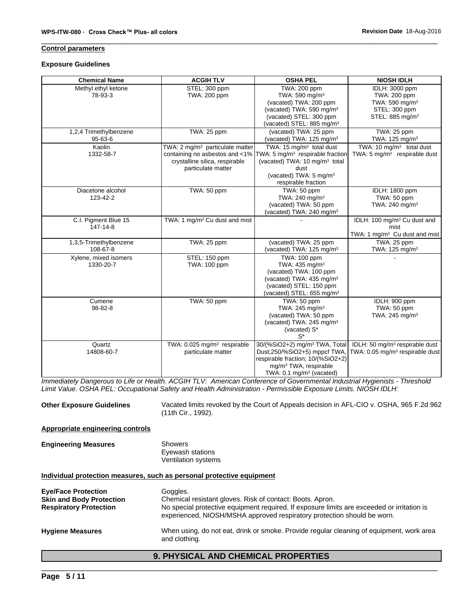# **Control parameters**

### **Exposure Guidelines**

| <b>Chemical Name</b>               | <b>ACGIH TLV</b>                                                                                    | <b>OSHA PEL</b>                                                                                                                                                                                                                              | <b>NIOSH IDLH</b>                                                                            |
|------------------------------------|-----------------------------------------------------------------------------------------------------|----------------------------------------------------------------------------------------------------------------------------------------------------------------------------------------------------------------------------------------------|----------------------------------------------------------------------------------------------|
| Methyl ethyl ketone<br>78-93-3     | STEL: 300 ppm<br>TWA: 200 ppm                                                                       | TWA: 200 ppm<br>TWA: 590 mg/m <sup>3</sup>                                                                                                                                                                                                   | IDLH: 3000 ppm<br>TWA: 200 ppm                                                               |
|                                    |                                                                                                     | (vacated) TWA: 200 ppm<br>(vacated) TWA: 590 mg/m <sup>3</sup><br>(vacated) STEL: 300 ppm                                                                                                                                                    | TWA: 590 mg/m <sup>3</sup><br>STEL: 300 ppm<br>STEL: 885 mg/m <sup>3</sup>                   |
|                                    |                                                                                                     | (vacated) STEL: 885 mg/m <sup>3</sup>                                                                                                                                                                                                        |                                                                                              |
| 1,2,4 Trimethylbenzene<br>95-63-6  | TWA: 25 ppm                                                                                         | (vacated) TWA: 25 ppm<br>(vacated) TWA: 125 mg/m <sup>3</sup>                                                                                                                                                                                | TWA: 25 ppm<br>TWA: 125 mg/m <sup>3</sup>                                                    |
| Kaolin<br>1332-58-7                | TWA: 2 mg/m <sup>3</sup> particulate matter<br>crystalline silica, respirable<br>particulate matter | TWA: 15 mg/m <sup>3</sup> total dust<br>containing no asbestos and <1% $\text{TWA: } 5 \text{ mg/m}^3$ respirable fraction<br>(vacated) TWA: 10 mg/m <sup>3</sup> total<br>dust<br>(vacated) TWA: 5 mg/m <sup>3</sup><br>respirable fraction | TWA: 10 $mq/m3$ total dust<br>TWA: 5 mg/m <sup>3</sup> respirable dust                       |
| Diacetone alcohol<br>123-42-2      | TWA: 50 ppm                                                                                         | TWA: 50 ppm<br>TWA: 240 mg/m <sup>3</sup><br>(vacated) TWA: 50 ppm<br>(vacated) TWA: 240 mg/m <sup>3</sup>                                                                                                                                   | IDLH: 1800 ppm<br>TWA: 50 ppm<br>TWA: 240 mg/m <sup>3</sup>                                  |
| C.I. Pigment Blue 15<br>147-14-8   | TWA: 1 mg/m <sup>3</sup> Cu dust and mist                                                           |                                                                                                                                                                                                                                              | IDLH: 100 mg/m <sup>3</sup> Cu dust and<br>mist<br>TWA: 1 mg/m <sup>3</sup> Cu dust and mist |
| 1,3,5-Trimethylbenzene<br>108-67-8 | TWA: 25 ppm                                                                                         | (vacated) TWA: 25 ppm<br>(vacated) TWA: 125 mg/m <sup>3</sup>                                                                                                                                                                                | TWA: 25 ppm<br>TWA: 125 mg/m <sup>3</sup>                                                    |
| Xylene, mixed isomers<br>1330-20-7 | STEL: 150 ppm<br>TWA: 100 ppm                                                                       | TWA: 100 ppm<br>TWA: 435 mg/m <sup>3</sup><br>(vacated) TWA: 100 ppm<br>(vacated) TWA: 435 mg/m <sup>3</sup><br>(vacated) STEL: 150 ppm<br>(vacated) STEL: 655 mg/m <sup>3</sup>                                                             |                                                                                              |
| Cumene<br>98-82-8                  | TWA: 50 ppm                                                                                         | TWA: 50 ppm<br>TWA: 245 mg/m <sup>3</sup><br>(vacated) TWA: 50 ppm<br>(vacated) TWA: 245 mg/m <sup>3</sup><br>(vacated) S*<br>$S^*$                                                                                                          | IDLH: 900 ppm<br>TWA: 50 ppm<br>TWA: 245 mg/m <sup>3</sup>                                   |
| Quartz<br>14808-60-7               | TWA: 0.025 mg/m <sup>3</sup> respirable<br>particulate matter                                       | 30/(%SiO2+2) mg/m <sup>3</sup> TWA, Total<br>Dust:250/%SiO2+5) mppcf TWA,<br>respirable fraction; 10/(%SiO2+2)<br>mg/m <sup>3</sup> TWA, respirable<br>TWA: $0.1 \text{ mg/m}^3$ (vacated)                                                   | IDLH: 50 mg/m <sup>3</sup> respirable dust<br>TWA: 0.05 mg/m <sup>3</sup> respirable dust    |

*Immediately Dangerous to Life or Health. ACGIH TLV: American Conference of Governmental Industrial Hygienists - Threshold Limit Value. OSHA PEL: Occupational Safety and Health Administration - Permissible Exposure Limits. NIOSH IDLH:*

**Other Exposure Guidelines** Vacated limits revoked by the Court of Appeals decision in AFL-CIO v. OSHA, 965 F.2d 962 (11th Cir., 1992).

# **Appropriate engineering controls**

| <b>Engineering Measures</b> | Showers             |  |
|-----------------------------|---------------------|--|
|                             | Eyewash stations    |  |
|                             | Ventilation systems |  |

# **Individual protection measures, such as personal protective equipment**

| <b>Eye/Face Protection</b><br><b>Skin and Body Protection</b><br><b>Respiratory Protection</b> | Goggles.<br>Chemical resistant gloves. Risk of contact: Boots. Apron.<br>No special protective equipment required. If exposure limits are exceeded or irritation is<br>experienced, NIOSH/MSHA approved respiratory protection should be worn. |  |
|------------------------------------------------------------------------------------------------|------------------------------------------------------------------------------------------------------------------------------------------------------------------------------------------------------------------------------------------------|--|
| <b>Hygiene Measures</b>                                                                        | When using, do not eat, drink or smoke. Provide regular cleaning of equipment, work area<br>and clothing.                                                                                                                                      |  |
|                                                                                                | <b>9. PHYSICAL AND CHEMICAL PROPERTIES</b>                                                                                                                                                                                                     |  |
|                                                                                                |                                                                                                                                                                                                                                                |  |

# **9. PHYSICAL AND CHEMICAL PROPERTIES**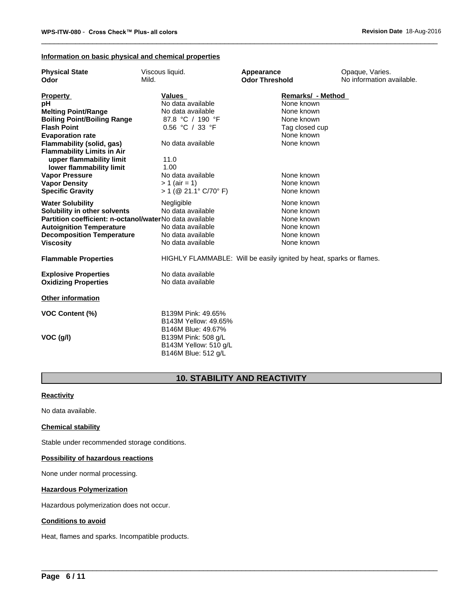# **Information on basic physical and chemical properties**

| <b>Physical State</b>                                   | Viscous liquid.         | Appearance                                                          | Opaque, Varies.           |  |
|---------------------------------------------------------|-------------------------|---------------------------------------------------------------------|---------------------------|--|
| Odor                                                    | Mild.                   | <b>Odor Threshold</b>                                               | No information available. |  |
| <b>Property</b>                                         | <b>Values</b>           | Remarks/ - Method                                                   |                           |  |
| рH                                                      | No data available       | None known                                                          |                           |  |
| <b>Melting Point/Range</b>                              | No data available       | None known                                                          |                           |  |
| <b>Boiling Point/Boiling Range</b>                      | 87.8 °C / 190 °F        | None known                                                          |                           |  |
| <b>Flash Point</b>                                      | 0.56 °C / 33 °F         | Tag closed cup                                                      |                           |  |
| <b>Evaporation rate</b>                                 |                         | None known                                                          |                           |  |
| <b>Flammability (solid, gas)</b>                        | No data available       | None known                                                          |                           |  |
| <b>Flammability Limits in Air</b>                       |                         |                                                                     |                           |  |
| upper flammability limit                                | 11.0                    |                                                                     |                           |  |
| lower flammability limit                                | 1.00                    |                                                                     |                           |  |
| <b>Vapor Pressure</b>                                   | No data available       | None known                                                          |                           |  |
| <b>Vapor Density</b>                                    | $> 1$ (air = 1)         | None known                                                          |                           |  |
| <b>Specific Gravity</b>                                 | $> 1$ (@ 21.1° C/70° F) | None known                                                          |                           |  |
| <b>Water Solubility</b>                                 | Negligible              | None known                                                          |                           |  |
| Solubility in other solvents                            | No data available       | None known                                                          |                           |  |
| Partition coefficient: n-octanol/waterNo data available |                         | None known                                                          |                           |  |
| <b>Autoignition Temperature</b>                         | No data available       | None known                                                          |                           |  |
| <b>Decomposition Temperature</b>                        | No data available       | None known                                                          |                           |  |
| <b>Viscosity</b>                                        | No data available       | None known                                                          |                           |  |
| <b>Flammable Properties</b>                             |                         | HIGHLY FLAMMABLE: Will be easily ignited by heat, sparks or flames. |                           |  |
| <b>Explosive Properties</b>                             | No data available       |                                                                     |                           |  |
| <b>Oxidizing Properties</b>                             | No data available       |                                                                     |                           |  |
| <b>Other information</b>                                |                         |                                                                     |                           |  |
| <b>VOC Content (%)</b>                                  | B139M Pink: 49.65%      |                                                                     |                           |  |
|                                                         | B143M Yellow: 49.65%    |                                                                     |                           |  |
|                                                         | B146M Blue: 49.67%      |                                                                     |                           |  |
| VOC (g/l)                                               | B139M Pink: 508 g/L     |                                                                     |                           |  |
|                                                         | B143M Yellow: 510 g/L   |                                                                     |                           |  |
|                                                         | B146M Blue: 512 g/L     |                                                                     |                           |  |

# **10. STABILITY AND REACTIVITY**

 $\overline{\phantom{a}}$  ,  $\overline{\phantom{a}}$  ,  $\overline{\phantom{a}}$  ,  $\overline{\phantom{a}}$  ,  $\overline{\phantom{a}}$  ,  $\overline{\phantom{a}}$  ,  $\overline{\phantom{a}}$  ,  $\overline{\phantom{a}}$  ,  $\overline{\phantom{a}}$  ,  $\overline{\phantom{a}}$  ,  $\overline{\phantom{a}}$  ,  $\overline{\phantom{a}}$  ,  $\overline{\phantom{a}}$  ,  $\overline{\phantom{a}}$  ,  $\overline{\phantom{a}}$  ,  $\overline{\phantom{a}}$ 

# **Reactivity**

No data available.

# **Chemical stability**

Stable under recommended storage conditions.

# **Possibility of hazardous reactions**

None under normal processing.

# **Hazardous Polymerization**

Hazardous polymerization does not occur.

# **Conditions to avoid**

Heat, flames and sparks. Incompatible products.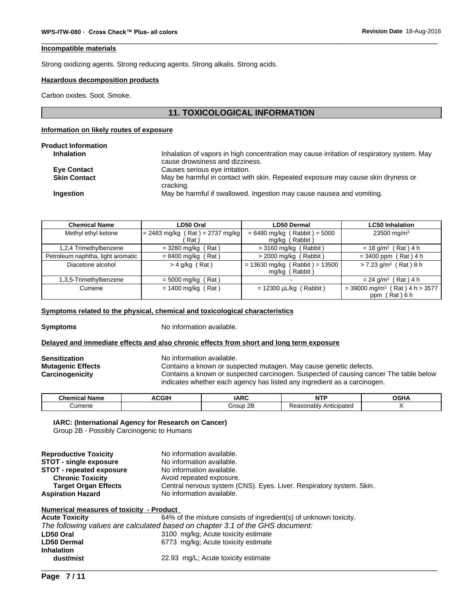# **Incompatible materials**

Strong oxidizing agents. Strong reducing agents. Strong alkalis. Strong acids.

# **Hazardous decomposition products**

Carbon oxides. Soot. Smoke.

# **11. TOXICOLOGICAL INFORMATION**

# **Information on likely routes of exposure**

| Inhalation of vapors in high concentration may cause irritation of respiratory system. May<br>cause drowsiness and dizziness. |
|-------------------------------------------------------------------------------------------------------------------------------|
|                                                                                                                               |
| Causes serious eye irritation.                                                                                                |
| May be harmful in contact with skin. Repeated exposure may cause skin dryness or<br>cracking.                                 |
| May be harmful if swallowed. Ingestion may cause nausea and vomiting.                                                         |
|                                                                                                                               |

| <b>Chemical Name</b>              | LD50 Oral                         | <b>LD50 Dermal</b>               | <b>LC50 Inhalation</b>                       |
|-----------------------------------|-----------------------------------|----------------------------------|----------------------------------------------|
| Methyl ethyl ketone               | $= 2483$ mg/kg (Rat) = 2737 mg/kg | $= 6480$ mg/kg (Rabbit) = 5000   | 23500 mg/m <sup>3</sup>                      |
|                                   | Rat)                              | mg/kg (Rabbit)                   |                                              |
| 1,2,4 Trimethylbenzene            | $=$ 3280 mg/kg (Rat)              | $>$ 3160 mg/kg (Rabbit)          | $= 18$ g/m <sup>3</sup> (Rat) 4 h            |
| Petroleum naphtha, light aromatic | $= 8400$ mg/kg (Rat)              | $>$ 2000 mg/kg (Rabbit)          | $= 3400$ ppm (Rat) 4 h                       |
| Diacetone alcohol                 | $>$ 4 g/kg (Rat)                  | $= 13630$ mg/kg (Rabbit) = 13500 | $> 7.23$ g/m <sup>3</sup> (Rat) 8 h          |
|                                   |                                   | mg/kg (Rabbit)                   |                                              |
| 1,3,5-Trimethylbenzene            | $= 5000$ mg/kg (Rat)              |                                  | $= 24$ g/m <sup>3</sup> (Rat) 4 h            |
| Cumene                            | $= 1400$ mg/kg (Rat)              | $= 12300 \mu L/kg$ (Rabbit)      | $=$ 39000 mg/m <sup>3</sup> (Rat) 4 h > 3577 |
|                                   |                                   |                                  | ppm (Rat) 6 h                                |

### **Symptoms related to the physical, chemical and toxicological characteristics**

**Symptoms** No information available.

### **Delayed and immediate effects and also chronic effects from short and long term exposure**

# **Sensitization** No information available.

**Mutagenic Effects** Contains a known or suspected mutagen. May cause genetic defects.

**Carcinogenicity** Contains a known or suspected carcinogen. Suspected of causing cancer The table below indicates whether each agency has listed any ingredient as a carcinogen.

 $\overline{\phantom{a}}$  ,  $\overline{\phantom{a}}$  ,  $\overline{\phantom{a}}$  ,  $\overline{\phantom{a}}$  ,  $\overline{\phantom{a}}$  ,  $\overline{\phantom{a}}$  ,  $\overline{\phantom{a}}$  ,  $\overline{\phantom{a}}$  ,  $\overline{\phantom{a}}$  ,  $\overline{\phantom{a}}$  ,  $\overline{\phantom{a}}$  ,  $\overline{\phantom{a}}$  ,  $\overline{\phantom{a}}$  ,  $\overline{\phantom{a}}$  ,  $\overline{\phantom{a}}$  ,  $\overline{\phantom{a}}$ 

| ^1.<br>----<br>Name<br>…ner | CGII | AD<br>IAR. | $\sim$                                 | ∩cւ |
|-----------------------------|------|------------|----------------------------------------|-----|
| Cumene                      |      | irour      | Anticipatec<br>conch<br>ונו הו<br>ונונ |     |

# **IARC: (International Agency for Research on Cancer)**

Group 2B - Possibly Carcinogenic to Humans

| <b>Reproductive Toxicity</b>    | No information available.                                            |
|---------------------------------|----------------------------------------------------------------------|
| <b>STOT - single exposure</b>   | No information available.                                            |
| <b>STOT - repeated exposure</b> | No information available.                                            |
| <b>Chronic Toxicity</b>         | Avoid repeated exposure.                                             |
| <b>Target Organ Effects</b>     | Central nervous system (CNS). Eyes. Liver. Respiratory system. Skin. |
| <b>Aspiration Hazard</b>        | No information available.                                            |

| Numerical measures of toxicity - Product |                                                                               |  |  |  |
|------------------------------------------|-------------------------------------------------------------------------------|--|--|--|
| <b>Acute Toxicity</b>                    | 64% of the mixture consists of ingredient(s) of unknown toxicity.             |  |  |  |
|                                          | The following values are calculated based on chapter 3.1 of the GHS document: |  |  |  |
| LD50 Oral                                | 3100 mg/kg; Acute toxicity estimate                                           |  |  |  |
| <b>LD50 Dermal</b>                       | 6773 mg/kg; Acute toxicity estimate                                           |  |  |  |
| <b>Inhalation</b>                        |                                                                               |  |  |  |
| dust/mist                                | 22.93 mg/L; Acute toxicity estimate                                           |  |  |  |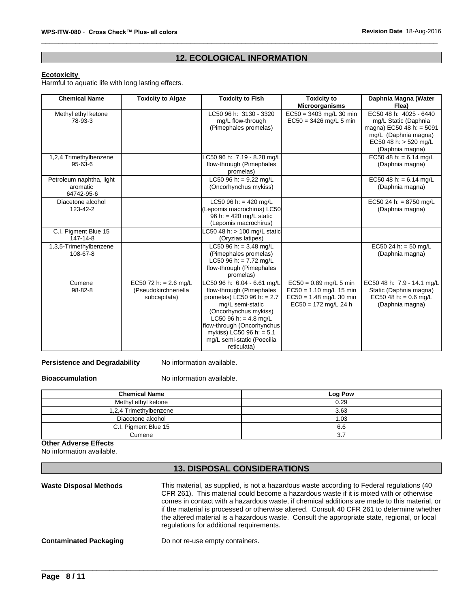# **12. ECOLOGICAL INFORMATION**

# **Ecotoxicity**

Harmful to aquatic life with long lasting effects.

| <b>Chemical Name</b>                               | <b>Toxicity to Algae</b>                                        | <b>Toxicity to Fish</b>                                                                                                                                                                                                                                                | <b>Toxicity to</b><br><b>Microorganisms</b>                                                                  | Daphnia Magna (Water<br>Flea)                                                                                                                      |
|----------------------------------------------------|-----------------------------------------------------------------|------------------------------------------------------------------------------------------------------------------------------------------------------------------------------------------------------------------------------------------------------------------------|--------------------------------------------------------------------------------------------------------------|----------------------------------------------------------------------------------------------------------------------------------------------------|
| Methyl ethyl ketone<br>78-93-3                     |                                                                 | LC50 96 h: 3130 - 3320<br>mg/L flow-through<br>(Pimephales promelas)                                                                                                                                                                                                   | $EC50 = 3403$ mg/L 30 min<br>$EC50 = 3426$ mg/L 5 min                                                        | EC50 48 h: 4025 - 6440<br>mg/L Static (Daphnia<br>magna) EC50 48 h: = $5091$<br>mg/L (Daphnia magna)<br>EC50 48 h: $>$ 520 mg/L<br>(Daphnia magna) |
| 1,2,4 Trimethylbenzene<br>$95 - 63 - 6$            |                                                                 | LC50 96 h: 7.19 - 8.28 mg/L<br>flow-through (Pimephales<br>promelas)                                                                                                                                                                                                   |                                                                                                              | EC50 48 h: = $6.14$ mg/L<br>(Daphnia magna)                                                                                                        |
| Petroleum naphtha, light<br>aromatic<br>64742-95-6 |                                                                 | LC50 96 h: = $9.22$ mg/L<br>(Oncorhynchus mykiss)                                                                                                                                                                                                                      |                                                                                                              | EC50 48 h: = $6.14$ mg/L<br>(Daphnia magna)                                                                                                        |
| Diacetone alcohol<br>123-42-2                      |                                                                 | LC50 96 h: = 420 mg/L<br>(Lepomis macrochirus) LC50<br>96 h: = $420$ mg/L static<br>(Lepomis macrochirus)                                                                                                                                                              |                                                                                                              | EC50 24 h: = 8750 mg/L<br>(Daphnia magna)                                                                                                          |
| C.I. Pigment Blue 15<br>147-14-8                   |                                                                 | LC50 48 h: $> 100$ mg/L static<br>(Oryzias latipes)                                                                                                                                                                                                                    |                                                                                                              |                                                                                                                                                    |
| 1,3,5-Trimethylbenzene<br>108-67-8                 |                                                                 | LC50 96 h: = $3.48$ mg/L<br>(Pimephales promelas)<br>LC50 96 h: = $7.72$ mg/L<br>flow-through (Pimephales<br>promelas)                                                                                                                                                 |                                                                                                              | EC50 24 h: = 50 mg/L<br>(Daphnia magna)                                                                                                            |
| Cumene<br>98-82-8                                  | EC50 72 h: = $2.6$ mg/L<br>(Pseudokirchneriella<br>subcapitata) | LC50 96 h: 6.04 - 6.61 mg/L<br>flow-through (Pimephales<br>promelas) LC50 96 h: $= 2.7$<br>mg/L semi-static<br>(Oncorhynchus mykiss)<br>LC50 96 h: = $4.8$ mg/L<br>flow-through (Oncorhynchus<br>mykiss) LC50 96 h: = 5.1<br>mg/L semi-static (Poecilia<br>reticulata) | $EC50 = 0.89$ mg/L 5 min<br>$EC50 = 1.10$ mg/L 15 min<br>$EC50 = 1.48$ mg/L 30 min<br>$EC50 = 172$ mg/L 24 h | EC50 48 h: 7.9 - 14.1 mg/L<br>Static (Daphnia magna)<br>EC50 48 h: = $0.6$ mg/L<br>(Daphnia magna)                                                 |

**Persistence and Degradability** No information available.

**Bioaccumulation** No information available.

| <b>Chemical Name</b>   | Log Pow |
|------------------------|---------|
| Methyl ethyl ketone    | 0.29    |
| 1,2,4 Trimethylbenzene | 3.63    |
| Diacetone alcohol      | 1.03    |
| C.I. Pigment Blue 15   | 6.6     |
| Cumene                 |         |

**Other Adverse Effects**

# No information available.

# **13. DISPOSAL CONSIDERATIONS**

**Waste Disposal Methods** This material, as supplied, is not a hazardous waste according to Federal regulations (40 CFR 261). This material could become a hazardous waste if it is mixed with or otherwise comes in contact with a hazardous waste, if chemical additions are made to this material, or if the material is processed or otherwise altered. Consult 40 CFR 261 to determine whether the altered material is a hazardous waste. Consult the appropriate state, regional, or local regulations for additional requirements. \_\_\_\_\_\_\_\_\_\_\_\_\_\_\_\_\_\_\_\_\_\_\_\_\_\_\_\_\_\_\_\_\_\_\_\_\_\_\_\_\_\_\_\_\_\_\_\_\_\_\_\_\_\_\_\_\_\_\_\_\_\_\_\_\_\_\_\_\_\_\_\_\_\_\_\_\_\_\_\_\_\_\_\_\_\_\_\_\_\_\_\_\_ **Contaminated Packaging** Do not re-use empty containers.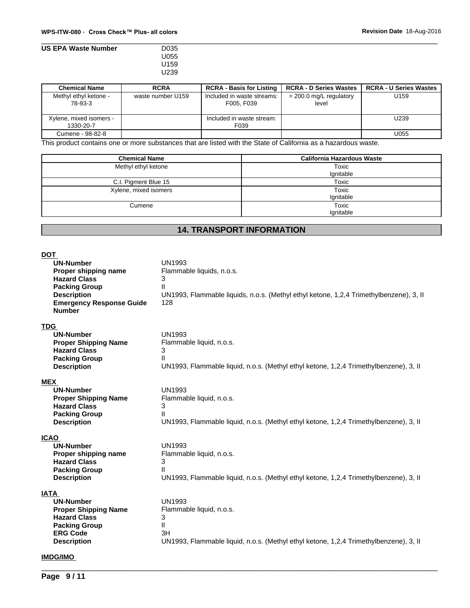# \_\_\_\_\_\_\_\_\_\_\_\_\_\_\_\_\_\_\_\_\_\_\_\_\_\_\_\_\_\_\_\_\_\_\_\_\_\_\_\_\_\_\_\_\_\_\_\_\_\_\_\_\_\_\_\_\_\_\_\_\_\_\_\_\_\_\_\_\_\_\_\_\_\_\_\_\_\_\_\_\_\_\_\_\_\_\_\_\_\_\_\_\_ **WPS-ITW-080** - **CrossCheck™ Plus-allcolors Revision Date** 18-Aug-2016 **US EPA Waste Number** U055 U159 U239

| <b>Chemical Name</b>                 | <b>RCRA</b>       | <b>RCRA - Basis for Listing</b>          | <b>RCRA - D Series Wastes</b>      | <b>RCRA - U Series Wastes</b> |
|--------------------------------------|-------------------|------------------------------------------|------------------------------------|-------------------------------|
| Methyl ethyl ketone -<br>78-93-3     | waste number U159 | Included in waste streams:<br>F005, F039 | $= 200.0$ mg/L regulatory<br>level | U159                          |
| Xylene, mixed isomers -<br>1330-20-7 |                   | Included in waste stream:<br>F039        |                                    | U239                          |
| Cumene - 98-82-8                     |                   |                                          |                                    | U055                          |

This product contains one or more substances that are listed with the State of California as a hazardous waste.

| <b>Chemical Name</b>  | <b>California Hazardous Waste</b> |
|-----------------------|-----------------------------------|
| Methyl ethyl ketone   | Toxic<br>Ignitable                |
| C.I. Pigment Blue 15  | Toxic                             |
| Xylene, mixed isomers | Toxic<br>Ignitable                |
| Cumene                | Toxic<br>Ignitable                |

# **14. TRANSPORT INFORMATION**

| <b>DOT</b><br><b>UN-Number</b><br>Proper shipping name<br><b>Hazard Class</b><br><b>Packing Group</b><br><b>Description</b><br><b>Emergency Response Guide</b><br><b>Number</b> | <b>UN1993</b><br>Flammable liquids, n.o.s.<br>3<br>Ш<br>UN1993, Flammable liquids, n.o.s. (Methyl ethyl ketone, 1,2,4 Trimethylbenzene), 3, II<br>128         |
|---------------------------------------------------------------------------------------------------------------------------------------------------------------------------------|---------------------------------------------------------------------------------------------------------------------------------------------------------------|
| <b>TDG</b><br><b>UN-Number</b><br><b>Proper Shipping Name</b><br><b>Hazard Class</b><br><b>Packing Group</b><br><b>Description</b>                                              | <b>UN1993</b><br>Flammable liquid, n.o.s.<br>3<br>$\mathbf{H}$<br>UN1993, Flammable liquid, n.o.s. (Methyl ethyl ketone, 1,2,4 Trimethylbenzene), 3, II       |
| MEX<br><b>UN-Number</b><br><b>Proper Shipping Name</b><br><b>Hazard Class</b><br><b>Packing Group</b><br><b>Description</b>                                                     | <b>UN1993</b><br>Flammable liquid, n.o.s.<br>3<br>Ш<br>UN1993, Flammable liquid, n.o.s. (Methyl ethyl ketone, 1,2,4 Trimethylbenzene), 3, II                  |
| <b>ICAO</b><br><b>UN-Number</b><br>Proper shipping name<br><b>Hazard Class</b><br><b>Packing Group</b><br><b>Description</b>                                                    | <b>UN1993</b><br>Flammable liquid, n.o.s.<br>3<br>$\mathbf{H}$<br>UN1993, Flammable liquid, n.o.s. (Methyl ethyl ketone, 1,2,4 Trimethylbenzene), 3, II       |
| <b>IATA</b><br><b>UN-Number</b><br><b>Proper Shipping Name</b><br><b>Hazard Class</b><br><b>Packing Group</b><br><b>ERG Code</b><br><b>Description</b>                          | <b>UN1993</b><br>Flammable liquid, n.o.s.<br>3<br>$\mathbf{H}$<br>3H<br>UN1993, Flammable liquid, n.o.s. (Methyl ethyl ketone, 1,2,4 Trimethylbenzene), 3, II |
| <b>IMDG/IMO</b>                                                                                                                                                                 |                                                                                                                                                               |

 $\overline{\phantom{a}}$  ,  $\overline{\phantom{a}}$  ,  $\overline{\phantom{a}}$  ,  $\overline{\phantom{a}}$  ,  $\overline{\phantom{a}}$  ,  $\overline{\phantom{a}}$  ,  $\overline{\phantom{a}}$  ,  $\overline{\phantom{a}}$  ,  $\overline{\phantom{a}}$  ,  $\overline{\phantom{a}}$  ,  $\overline{\phantom{a}}$  ,  $\overline{\phantom{a}}$  ,  $\overline{\phantom{a}}$  ,  $\overline{\phantom{a}}$  ,  $\overline{\phantom{a}}$  ,  $\overline{\phantom{a}}$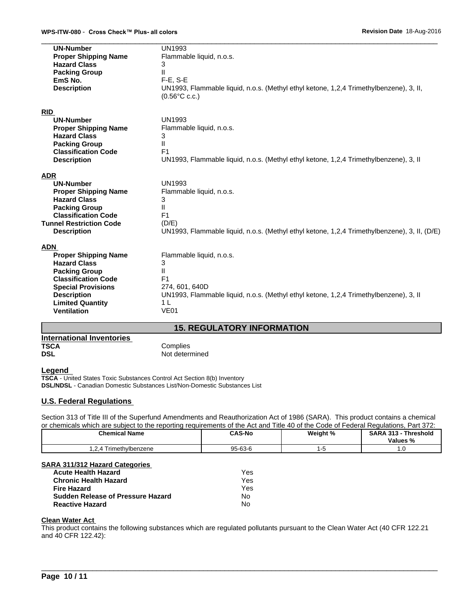| <b>UN-Number</b><br><b>Proper Shipping Name</b><br><b>Hazard Class</b><br><b>Packing Group</b><br>EmS No.<br><b>Description</b> | <b>UN1993</b><br>Flammable liquid, n.o.s.<br>3<br>$\mathbf{I}$<br>$F-E$ , S-E<br>UN1993, Flammable liquid, n.o.s. (Methyl ethyl ketone, 1,2,4 Trimethylbenzene), 3, II,<br>$(0.56^{\circ}$ C c.c.) |
|---------------------------------------------------------------------------------------------------------------------------------|----------------------------------------------------------------------------------------------------------------------------------------------------------------------------------------------------|
| <b>RID</b>                                                                                                                      |                                                                                                                                                                                                    |
| <b>UN-Number</b>                                                                                                                | <b>UN1993</b>                                                                                                                                                                                      |
| <b>Proper Shipping Name</b><br><b>Hazard Class</b>                                                                              | Flammable liquid, n.o.s.<br>3                                                                                                                                                                      |
| <b>Packing Group</b>                                                                                                            | $\mathbf{H}$                                                                                                                                                                                       |
| <b>Classification Code</b>                                                                                                      | F <sub>1</sub>                                                                                                                                                                                     |
| <b>Description</b>                                                                                                              | UN1993, Flammable liquid, n.o.s. (Methyl ethyl ketone, 1,2,4 Trimethylbenzene), 3, II                                                                                                              |
| <b>ADR</b>                                                                                                                      |                                                                                                                                                                                                    |
| <b>UN-Number</b>                                                                                                                | <b>UN1993</b>                                                                                                                                                                                      |
| <b>Proper Shipping Name</b>                                                                                                     | Flammable liquid, n.o.s.                                                                                                                                                                           |
| <b>Hazard Class</b>                                                                                                             | 3                                                                                                                                                                                                  |
| <b>Packing Group</b><br><b>Classification Code</b>                                                                              | Ш<br>F <sub>1</sub>                                                                                                                                                                                |
| <b>Tunnel Restriction Code</b>                                                                                                  | (D/E)                                                                                                                                                                                              |
| <b>Description</b>                                                                                                              | UN1993, Flammable liquid, n.o.s. (Methyl ethyl ketone, 1,2,4 Trimethylbenzene), 3, II, (D/E)                                                                                                       |
| <b>ADN</b>                                                                                                                      |                                                                                                                                                                                                    |
| <b>Proper Shipping Name</b>                                                                                                     | Flammable liquid, n.o.s.                                                                                                                                                                           |
| <b>Hazard Class</b>                                                                                                             | 3                                                                                                                                                                                                  |
| <b>Packing Group</b>                                                                                                            | Ш                                                                                                                                                                                                  |
| <b>Classification Code</b>                                                                                                      | F <sub>1</sub>                                                                                                                                                                                     |
| <b>Special Provisions</b>                                                                                                       | 274, 601, 640D                                                                                                                                                                                     |
| <b>Description</b><br><b>Limited Quantity</b>                                                                                   | UN1993, Flammable liquid, n.o.s. (Methyl ethyl ketone, 1,2,4 Trimethylbenzene), 3, II<br>1 <sub>L</sub>                                                                                            |
| <b>Ventilation</b>                                                                                                              | <b>VE01</b>                                                                                                                                                                                        |
|                                                                                                                                 |                                                                                                                                                                                                    |
|                                                                                                                                 | <b>15. REGULATORY INFORMATION</b>                                                                                                                                                                  |

| International Inventories |                |
|---------------------------|----------------|
| <b>TSCA</b>               | Complies       |
| <b>DSL</b>                | Not determined |

# **Legend**

**TSCA** - United States Toxic Substances Control Act Section 8(b) Inventory **DSL/NDSL** - Canadian Domestic Substances List/Non-Domestic Substances List

# **U.S. Federal Regulations**

Section 313 of Title III of the Superfund Amendments and Reauthorization Act of 1986 (SARA). This product contains a chemical or chemicals which are subject to the reporting requirements of the Act and Title 40 of the Code of Federal Regulations, Part 372:

| <b>Chemical Name</b>                               | <b>CAS-No</b>                       | Weight % | <b>SARA 313</b><br>Threshold<br>Values % |
|----------------------------------------------------|-------------------------------------|----------|------------------------------------------|
| $\sim$<br>imethvlbenzene<br>$\overline{ }$<br>$-1$ | $95 - 6.$<br>$\sim$ $\sim$<br>-63-6 |          | . . v                                    |

# **SARA 311/312 Hazard Categories**

| <b>Acute Health Hazard</b>               | Yes |
|------------------------------------------|-----|
| <b>Chronic Health Hazard</b>             | Yes |
| <b>Fire Hazard</b>                       | Yes |
| <b>Sudden Release of Pressure Hazard</b> | No  |
| <b>Reactive Hazard</b>                   | No  |

# **Clean Water Act**

This product contains the following substances which are regulated pollutants pursuant to the Clean Water Act (40 CFR 122.21 and 40 CFR 122.42):

 $\overline{\phantom{a}}$  ,  $\overline{\phantom{a}}$  ,  $\overline{\phantom{a}}$  ,  $\overline{\phantom{a}}$  ,  $\overline{\phantom{a}}$  ,  $\overline{\phantom{a}}$  ,  $\overline{\phantom{a}}$  ,  $\overline{\phantom{a}}$  ,  $\overline{\phantom{a}}$  ,  $\overline{\phantom{a}}$  ,  $\overline{\phantom{a}}$  ,  $\overline{\phantom{a}}$  ,  $\overline{\phantom{a}}$  ,  $\overline{\phantom{a}}$  ,  $\overline{\phantom{a}}$  ,  $\overline{\phantom{a}}$